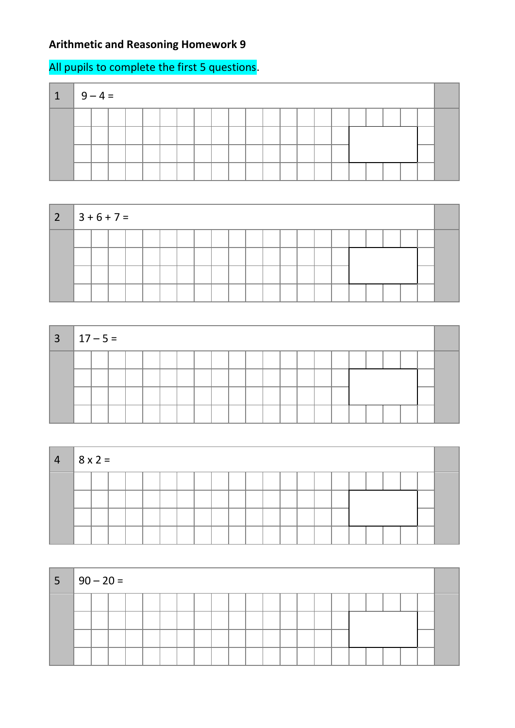## **Arithmetic and Reasoning Homework 9**

## All pupils to complete the first 5 questions.

| $\blacksquare$ | $9 - 4 =$ |  |  |  |  |  |  |  |  |  |  |  |
|----------------|-----------|--|--|--|--|--|--|--|--|--|--|--|
|                |           |  |  |  |  |  |  |  |  |  |  |  |
|                |           |  |  |  |  |  |  |  |  |  |  |  |
|                |           |  |  |  |  |  |  |  |  |  |  |  |
|                |           |  |  |  |  |  |  |  |  |  |  |  |



| $3 \mid 17 - 5 =$ |  |  |  |  |  |  |  |  |  |  |  |
|-------------------|--|--|--|--|--|--|--|--|--|--|--|
|                   |  |  |  |  |  |  |  |  |  |  |  |
|                   |  |  |  |  |  |  |  |  |  |  |  |
|                   |  |  |  |  |  |  |  |  |  |  |  |
|                   |  |  |  |  |  |  |  |  |  |  |  |

| $\begin{vmatrix} 4 & 8 \end{vmatrix}$ 8 x 2 = |  |  |  |  |  |  |  |  |  |  |  |
|-----------------------------------------------|--|--|--|--|--|--|--|--|--|--|--|
|                                               |  |  |  |  |  |  |  |  |  |  |  |
|                                               |  |  |  |  |  |  |  |  |  |  |  |
|                                               |  |  |  |  |  |  |  |  |  |  |  |
|                                               |  |  |  |  |  |  |  |  |  |  |  |

| $ 5 90-20=$ |  |  |  |  |  |  |  |  |  |  |  |
|-------------|--|--|--|--|--|--|--|--|--|--|--|
|             |  |  |  |  |  |  |  |  |  |  |  |
|             |  |  |  |  |  |  |  |  |  |  |  |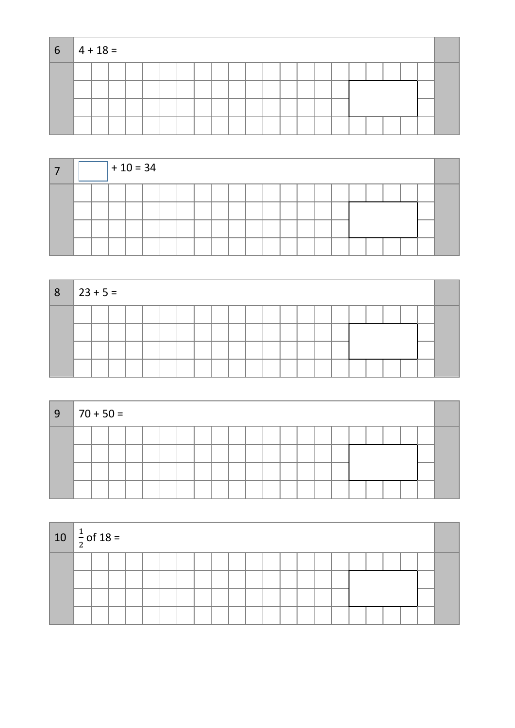| $6 \mid 4 + 18 =$ |  |  |  |  |  |  |  |  |  |  |  |
|-------------------|--|--|--|--|--|--|--|--|--|--|--|
|                   |  |  |  |  |  |  |  |  |  |  |  |
|                   |  |  |  |  |  |  |  |  |  |  |  |
|                   |  |  |  |  |  |  |  |  |  |  |  |
|                   |  |  |  |  |  |  |  |  |  |  |  |

|  |  | $+10 = 34$ |  |  |  |  |  |  |  |  |  |
|--|--|------------|--|--|--|--|--|--|--|--|--|
|  |  |            |  |  |  |  |  |  |  |  |  |
|  |  |            |  |  |  |  |  |  |  |  |  |
|  |  |            |  |  |  |  |  |  |  |  |  |
|  |  |            |  |  |  |  |  |  |  |  |  |

| 8 <sub>1</sub> | $ 23 + 5 =$ |  |  |  |  |  |  |  |  |  |  |  |
|----------------|-------------|--|--|--|--|--|--|--|--|--|--|--|
|                |             |  |  |  |  |  |  |  |  |  |  |  |
|                |             |  |  |  |  |  |  |  |  |  |  |  |
|                |             |  |  |  |  |  |  |  |  |  |  |  |
|                |             |  |  |  |  |  |  |  |  |  |  |  |

| 9 | $\parallel$ 70 + 50 = |  |  |  |  |  |  |  |  |  |  |  |
|---|-----------------------|--|--|--|--|--|--|--|--|--|--|--|
|   |                       |  |  |  |  |  |  |  |  |  |  |  |
|   |                       |  |  |  |  |  |  |  |  |  |  |  |
|   |                       |  |  |  |  |  |  |  |  |  |  |  |

| 10 $\frac{1}{2}$ of 18 = |  |  |  |  |  |  |  |  |  |  |  |
|--------------------------|--|--|--|--|--|--|--|--|--|--|--|
|                          |  |  |  |  |  |  |  |  |  |  |  |
|                          |  |  |  |  |  |  |  |  |  |  |  |
|                          |  |  |  |  |  |  |  |  |  |  |  |
|                          |  |  |  |  |  |  |  |  |  |  |  |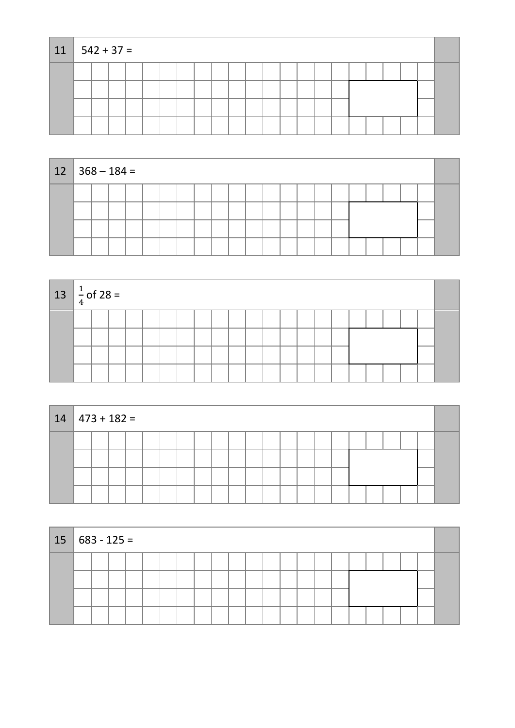| $11   542 + 37 =$ |  |  |  |  |  |  |  |  |  |  |  |
|-------------------|--|--|--|--|--|--|--|--|--|--|--|
|                   |  |  |  |  |  |  |  |  |  |  |  |
|                   |  |  |  |  |  |  |  |  |  |  |  |
|                   |  |  |  |  |  |  |  |  |  |  |  |
|                   |  |  |  |  |  |  |  |  |  |  |  |

| $12 \mid 368 - 184 =$ |  |  |  |  |  |  |  |  |  |  |  |
|-----------------------|--|--|--|--|--|--|--|--|--|--|--|
|                       |  |  |  |  |  |  |  |  |  |  |  |
|                       |  |  |  |  |  |  |  |  |  |  |  |
|                       |  |  |  |  |  |  |  |  |  |  |  |
|                       |  |  |  |  |  |  |  |  |  |  |  |

| $13 \left  \frac{1}{4} \right.$ of 28 = |  |  |  |  |  |  |  |  |  |  |  |
|-----------------------------------------|--|--|--|--|--|--|--|--|--|--|--|
|                                         |  |  |  |  |  |  |  |  |  |  |  |
|                                         |  |  |  |  |  |  |  |  |  |  |  |
|                                         |  |  |  |  |  |  |  |  |  |  |  |
|                                         |  |  |  |  |  |  |  |  |  |  |  |

| $14$   473 + 182 = |  |  |  |  |  |  |  |  |  |  |  |  |  |  |  |
|--------------------|--|--|--|--|--|--|--|--|--|--|--|--|--|--|--|
|                    |  |  |  |  |  |  |  |  |  |  |  |  |  |  |  |
|                    |  |  |  |  |  |  |  |  |  |  |  |  |  |  |  |
|                    |  |  |  |  |  |  |  |  |  |  |  |  |  |  |  |
|                    |  |  |  |  |  |  |  |  |  |  |  |  |  |  |  |

| $15   683 - 125 =$ |  |  |  |  |  |  |  |  |  |  |  |
|--------------------|--|--|--|--|--|--|--|--|--|--|--|
|                    |  |  |  |  |  |  |  |  |  |  |  |
|                    |  |  |  |  |  |  |  |  |  |  |  |
|                    |  |  |  |  |  |  |  |  |  |  |  |
|                    |  |  |  |  |  |  |  |  |  |  |  |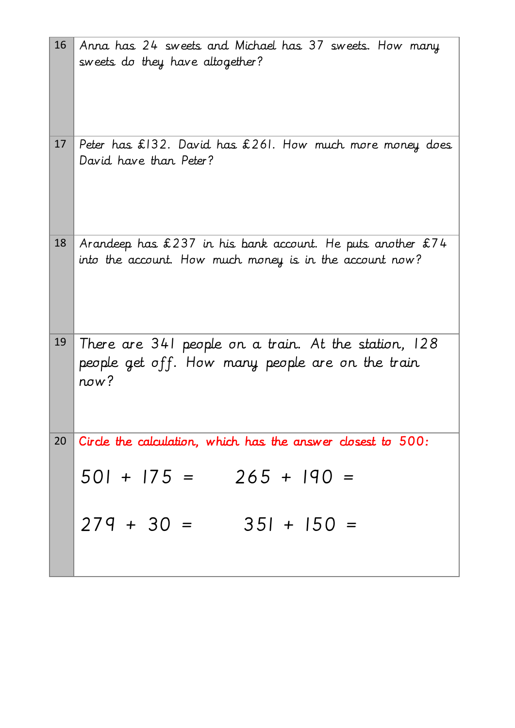| 16 | Anna has 24 sweets and Michael has 37 sweets. How many<br>sweets do they have altogether?                                 |
|----|---------------------------------------------------------------------------------------------------------------------------|
| 17 | Peter has $£132$ . David has $£261$ . How much more money does<br>David have than Peter?                                  |
| 18 | Arandeep has $£237$ in his bank account. He puts another $£74$<br>into the account. How much money is in the account now? |
| 19 | There are 341 people on a train. At the station, 128<br>people get off. How many people are on the train<br>now?          |
| 20 | Circle the calculation, which has the answer closest to 500:                                                              |
|    | $501 + 175 = 265 + 190 =$                                                                                                 |
|    | $279 + 30 = 351 + 150 =$                                                                                                  |